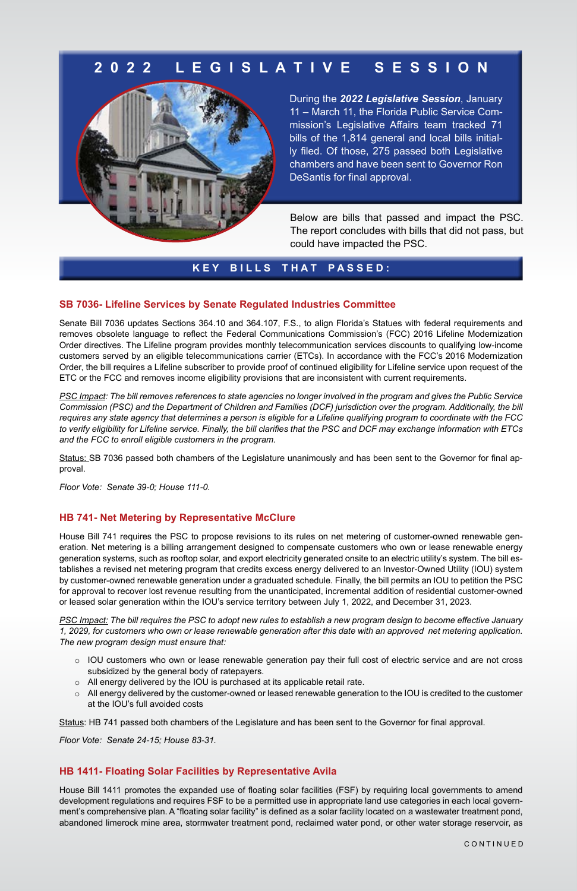## **K E Y B I L L S T H A T P A S S E D :**

#### **SB 7036- Lifeline Services by Senate Regulated Industries Committee**

Senate Bill 7036 updates Sections 364.10 and 364.107, F.S., to align Florida's Statues with federal requirements and removes obsolete language to reflect the Federal Communications Commission's (FCC) 2016 Lifeline Modernization Order directives. The Lifeline program provides monthly telecommunication services discounts to qualifying low-income customers served by an eligible telecommunications carrier (ETCs). In accordance with the FCC's 2016 Modernization Order, the bill requires a Lifeline subscriber to provide proof of continued eligibility for Lifeline service upon request of the ETC or the FCC and removes income eligibility provisions that are inconsistent with current requirements.

*PSC Impact: The bill removes references to state agencies no longer involved in the program and gives the Public Service Commission (PSC) and the Department of Children and Families (DCF) jurisdiction over the program. Additionally, the bill requires any state agency that determines a person is eligible for a Lifeline qualifying program to coordinate with the FCC to verify eligibility for Lifeline service. Finally, the bill clarifies that the PSC and DCF may exchange information with ETCs and the FCC to enroll eligible customers in the program.* 

Status: SB 7036 passed both chambers of the Legislature unanimously and has been sent to the Governor for final approval.

*Floor Vote: Senate 39-0; House 111-0.*

#### **HB 741- Net Metering by Representative McClure**

House Bill 741 requires the PSC to propose revisions to its rules on net metering of customer-owned renewable generation. Net metering is a billing arrangement designed to compensate customers who own or lease renewable energy generation systems, such as rooftop solar, and export electricity generated onsite to an electric utility's system. The bill establishes a revised net metering program that credits excess energy delivered to an Investor-Owned Utility (IOU) system by customer-owned renewable generation under a graduated schedule. Finally, the bill permits an IOU to petition the PSC for approval to recover lost revenue resulting from the unanticipated, incremental addition of residential customer-owned or leased solar generation within the IOU's service territory between July 1, 2022, and December 31, 2023.

*PSC Impact: The bill requires the PSC to adopt new rules to establish a new program design to become effective January 1, 2029, for customers who own or lease renewable generation after this date with an approved net metering application. The new program design must ensure that:* 

- o IOU customers who own or lease renewable generation pay their full cost of electric service and are not cross subsidized by the general body of ratepayers.
- o All energy delivered by the IOU is purchased at its applicable retail rate.
- o All energy delivered by the customer-owned or leased renewable generation to the IOU is credited to the customer at the IOU's full avoided costs

Status: HB 741 passed both chambers of the Legislature and has been sent to the Governor for final approval.

*Floor Vote: Senate 24-15; House 83-31.*

### **HB 1411- Floating Solar Facilities by Representative Avila**

House Bill 1411 promotes the expanded use of floating solar facilities (FSF) by requiring local governments to amend development regulations and requires FSF to be a permitted use in appropriate land use categories in each local government's comprehensive plan. A "floating solar facility" is defined as a solar facility located on a wastewater treatment pond, abandoned limerock mine area, stormwater treatment pond, reclaimed water pond, or other water storage reservoir, as

Below are bills that passed and impact the PSC. The report concludes with bills that did not pass, but could have impacted the PSC.

During the *2022 Legislative Session*, January 11 – March 11, the Florida Public Service Commission's Legislative Affairs team tracked 71 bills of the 1,814 general and local bills initially filed. Of those, 275 passed both Legislative chambers and have been sent to Governor Ron DeSantis for final approval.

## **2 0 2 2 L E G I S L A T I V E S E S S I O N**



C O N T I N U E D